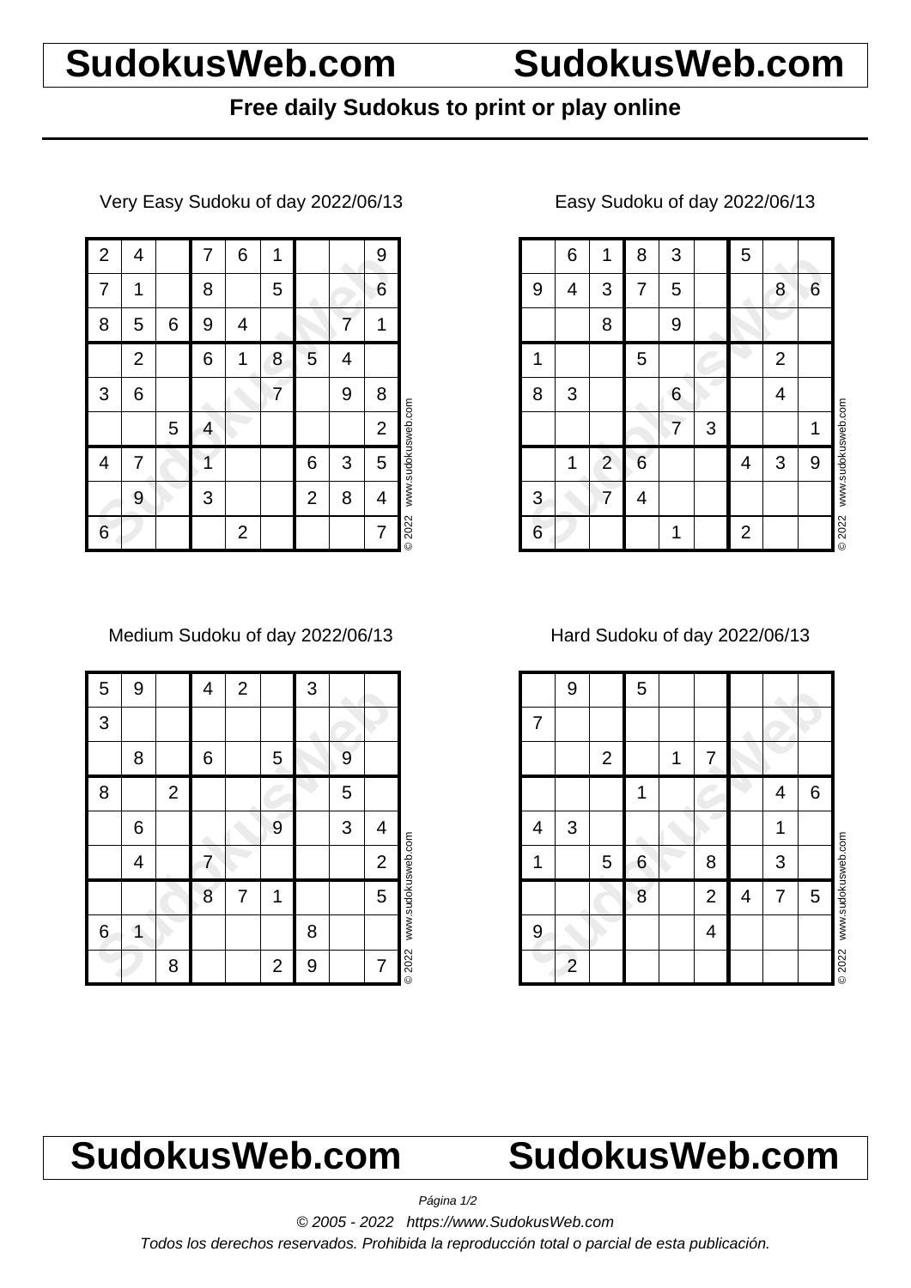## **SudokusWeb.com SudokusWeb.com**

### **Free daily Sudokus to print or play online**

Very Easy Sudoku of day 2022/06/13

| $\overline{c}$ | 4              |   | 7 | 6              | 1 |                |   | 9              |                    |
|----------------|----------------|---|---|----------------|---|----------------|---|----------------|--------------------|
| 7              | 1              |   | 8 |                | 5 |                |   | 6              |                    |
| 8              | 5              | 6 | 9 | 4              |   |                | 7 | 1              |                    |
|                | $\overline{2}$ |   | 6 | 1              | 8 | 5              | 4 |                |                    |
| 3              | 6              |   |   |                | 7 |                | 9 | 8              |                    |
|                |                | 5 | 4 |                |   |                |   | $\overline{c}$ |                    |
| 4              | 7              |   |   |                |   | 6              | 3 | 5              | www.sudokusweb.com |
|                | 9              |   | 3 |                |   | $\overline{2}$ | 8 | 4              |                    |
| 6              |                |   |   | $\overline{2}$ |   |                |   | 7              | © 2022             |

Medium Sudoku of day 2022/06/13

| 5 | 9 |              | 4 | $\mathbf 2$ |                | 3 |   |                |                    |
|---|---|--------------|---|-------------|----------------|---|---|----------------|--------------------|
| 3 |   |              |   |             |                |   |   |                |                    |
|   | 8 |              | 6 |             | 5              |   | 9 |                |                    |
| 8 |   | $\mathbf{2}$ |   |             |                |   | 5 |                |                    |
|   | 6 |              |   |             | 9              |   | 3 | 4              |                    |
|   | 4 |              | 7 |             |                |   |   | $\overline{c}$ |                    |
|   |   |              | 8 | 7           | 1              |   |   | 5              | www.sudokusweb.com |
| 6 | 1 |              |   |             |                | 8 |   |                |                    |
|   |   | 8            |   |             | $\overline{2}$ | 9 |   | 7              | © 2022             |

### Easy Sudoku of day 2022/06/13

|   | 6 | 1              | 8 | 3 |   | 5              |                |   |                    |
|---|---|----------------|---|---|---|----------------|----------------|---|--------------------|
| 9 | 4 | 3              | 7 | 5 |   |                | 8              | 6 |                    |
|   |   | 8              |   | 9 |   |                |                |   |                    |
| 1 |   |                | 5 |   |   |                | $\overline{2}$ |   |                    |
| 8 | 3 |                |   | 6 |   |                | 4              |   |                    |
|   |   |                |   | 7 | 3 |                |                | 1 | www.sudokusweb.com |
|   | 1 | $\overline{2}$ | 6 |   |   | 4              | 3              | 9 |                    |
| 3 |   | 7              | 4 |   |   |                |                |   |                    |
| 6 |   |                |   | 1 |   | $\overline{2}$ |                |   | © 2022             |

Hard Sudoku of day 2022/06/13

|   | 9              |                | 5               |   |                |   |   |                 |                    |
|---|----------------|----------------|-----------------|---|----------------|---|---|-----------------|--------------------|
| 7 |                |                |                 |   |                |   |   |                 |                    |
|   |                | $\overline{2}$ |                 | 1 | 7              |   |   |                 |                    |
|   |                |                | 1               |   |                |   | 4 | $6\phantom{1}6$ |                    |
| 4 | 3              |                |                 |   |                |   | 1 |                 |                    |
|   |                | 5              | $6\phantom{1}6$ |   | 8              |   | 3 |                 |                    |
|   |                |                | 8               |   | $\overline{2}$ | 4 | 7 | 5               | www.sudokusweb.com |
| 9 |                |                |                 |   | 4              |   |   |                 |                    |
|   | $\overline{c}$ |                |                 |   |                |   |   |                 | © 2022             |

# **SudokusWeb.com SudokusWeb.com**

Página 1/2

© 2005 - 2022 https://www.SudokusWeb.com

Todos los derechos reservados. Prohibida la reproducción total o parcial de esta publicación.